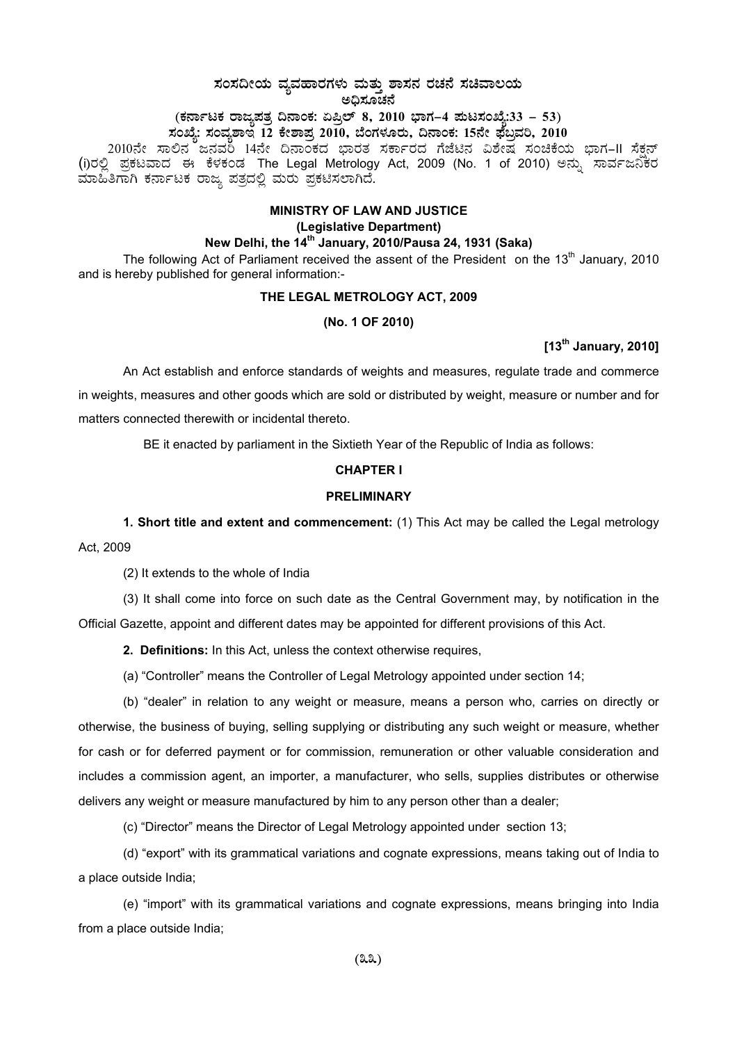# **¸ÀA¸À¢ÃAiÀÄ ªÀåªÀºÁgÀUÀ¼ÀÄ ªÀÄvÀÄÛ ±Á¸À£À gÀZÀ£É ¸ÀaªÁ®AiÀÄ C¢ü¸ÀÆZÀ£É**

# (ಕರ್ನಾಟಕ ರಾಜ್ಯಪತ್ರ ದಿನಾಂಕ: ಏಪ್ರಿಲ್ 8, 2010 ಭಾಗ–4 **ಮಟಸಂಖ್ಯೆ:33 – 53**)

**¸ÀASÉå: ¸ÀAªÀå±ÁE 12 PÉñÁ¥Àæ 2010, ¨ÉAUÀ¼ÀÆgÀÄ, ¢£ÁAPÀ: 15£Éà ¥sɧæªÀj, 2010** 

2010ನೇ ಸಾಲಿನ ಜನವರಿ 14ನೇ ದಿನಾಂಕದ ಭಾರತ ಸರ್ಕಾರದ ಗೆಜೆಟಿನ ವಿಶೇಷ ಸಂಚಿಕೆಯ ಭಾಗ−II ಸೆಕ್ಷನ್ (i)ರಲ್ಲಿ ಪ್ರಕಟವಾದ ಈ ಕೆಳಕಂಡ The Legal Metrology Act, 2009 (No. 1 of 2010) ಅನ್ನು ಸಾರ್ವಜನಿಕರ<br>ಮಾಹಿತಿಗಾಗಿ ಕರ್ನಾಟಕ ರಾಜ್ಯ ಪತ್ರದಲ್ಲಿ ಮರು ಪ್ರಕಟಿಸಲಾಗಿದೆ.

## **MINISTRY OF LAW AND JUSTICE (Legislative Department) New Delhi, the 14th January, 2010/Pausa 24, 1931 (Saka)**

The following Act of Parliament received the assent of the President on the  $13<sup>th</sup>$  January, 2010 and is hereby published for general information:-

### **THE LEGAL METROLOGY ACT, 2009**

#### **(No. 1 OF 2010)**

# **[13th January, 2010]**

An Act establish and enforce standards of weights and measures, regulate trade and commerce in weights, measures and other goods which are sold or distributed by weight, measure or number and for matters connected therewith or incidental thereto.

BE it enacted by parliament in the Sixtieth Year of the Republic of India as follows:

#### **CHAPTER I**

#### **PRELIMINARY**

**1. Short title and extent and commencement:** (1) This Act may be called the Legal metrology Act, 2009

(2) It extends to the whole of India

(3) It shall come into force on such date as the Central Government may, by notification in the Official Gazette, appoint and different dates may be appointed for different provisions of this Act.

**2. Definitions:** In this Act, unless the context otherwise requires,

(a) "Controller" means the Controller of Legal Metrology appointed under section 14;

(b) "dealer" in relation to any weight or measure, means a person who, carries on directly or otherwise, the business of buying, selling supplying or distributing any such weight or measure, whether for cash or for deferred payment or for commission, remuneration or other valuable consideration and includes a commission agent, an importer, a manufacturer, who sells, supplies distributes or otherwise delivers any weight or measure manufactured by him to any person other than a dealer;

(c) "Director" means the Director of Legal Metrology appointed under section 13;

(d) "export" with its grammatical variations and cognate expressions, means taking out of India to a place outside India;

(e) "import" with its grammatical variations and cognate expressions, means bringing into India from a place outside India;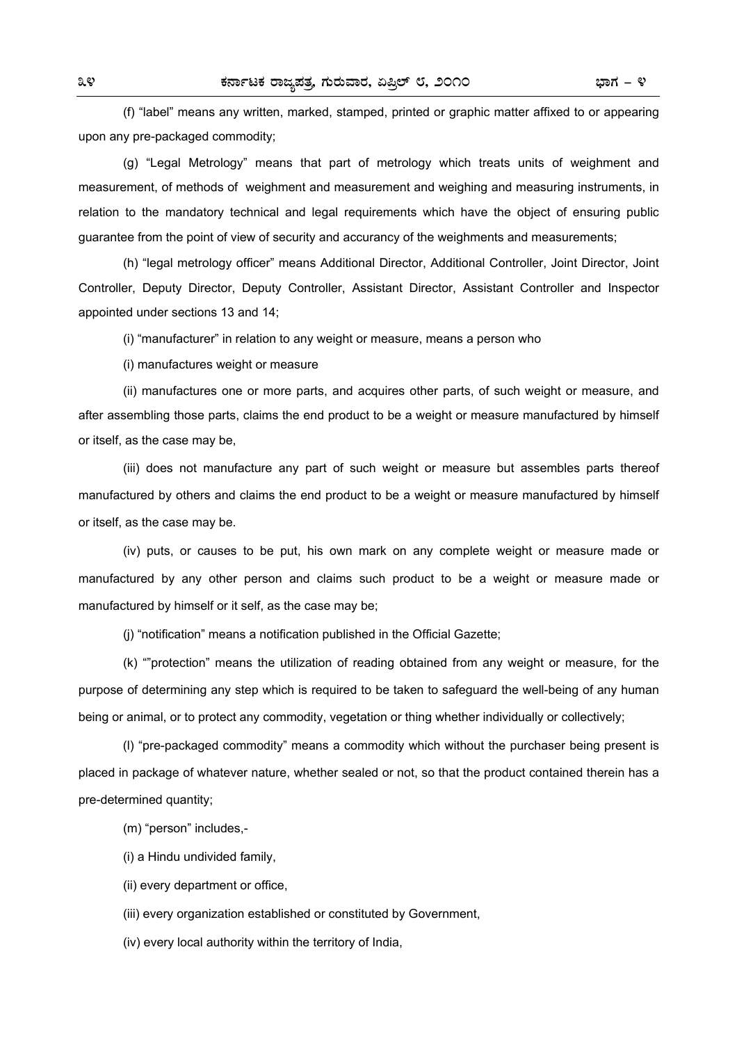(f) "label" means any written, marked, stamped, printed or graphic matter affixed to or appearing upon any pre-packaged commodity;

 (g) "Legal Metrology" means that part of metrology which treats units of weighment and measurement, of methods of weighment and measurement and weighing and measuring instruments, in relation to the mandatory technical and legal requirements which have the object of ensuring public guarantee from the point of view of security and accurancy of the weighments and measurements;

 (h) "legal metrology officer" means Additional Director, Additional Controller, Joint Director, Joint Controller, Deputy Director, Deputy Controller, Assistant Director, Assistant Controller and Inspector appointed under sections 13 and 14;

(i) "manufacturer" in relation to any weight or measure, means a person who

(i) manufactures weight or measure

 (ii) manufactures one or more parts, and acquires other parts, of such weight or measure, and after assembling those parts, claims the end product to be a weight or measure manufactured by himself or itself, as the case may be,

 (iii) does not manufacture any part of such weight or measure but assembles parts thereof manufactured by others and claims the end product to be a weight or measure manufactured by himself or itself, as the case may be.

 (iv) puts, or causes to be put, his own mark on any complete weight or measure made or manufactured by any other person and claims such product to be a weight or measure made or manufactured by himself or it self, as the case may be;

(j) "notification" means a notification published in the Official Gazette;

 (k) ""protection" means the utilization of reading obtained from any weight or measure, for the purpose of determining any step which is required to be taken to safeguard the well-being of any human being or animal, or to protect any commodity, vegetation or thing whether individually or collectively;

 (l) "pre-packaged commodity" means a commodity which without the purchaser being present is placed in package of whatever nature, whether sealed or not, so that the product contained therein has a pre-determined quantity;

(m) "person" includes,-

(i) a Hindu undivided family,

(ii) every department or office,

(iii) every organization established or constituted by Government,

(iv) every local authority within the territory of India,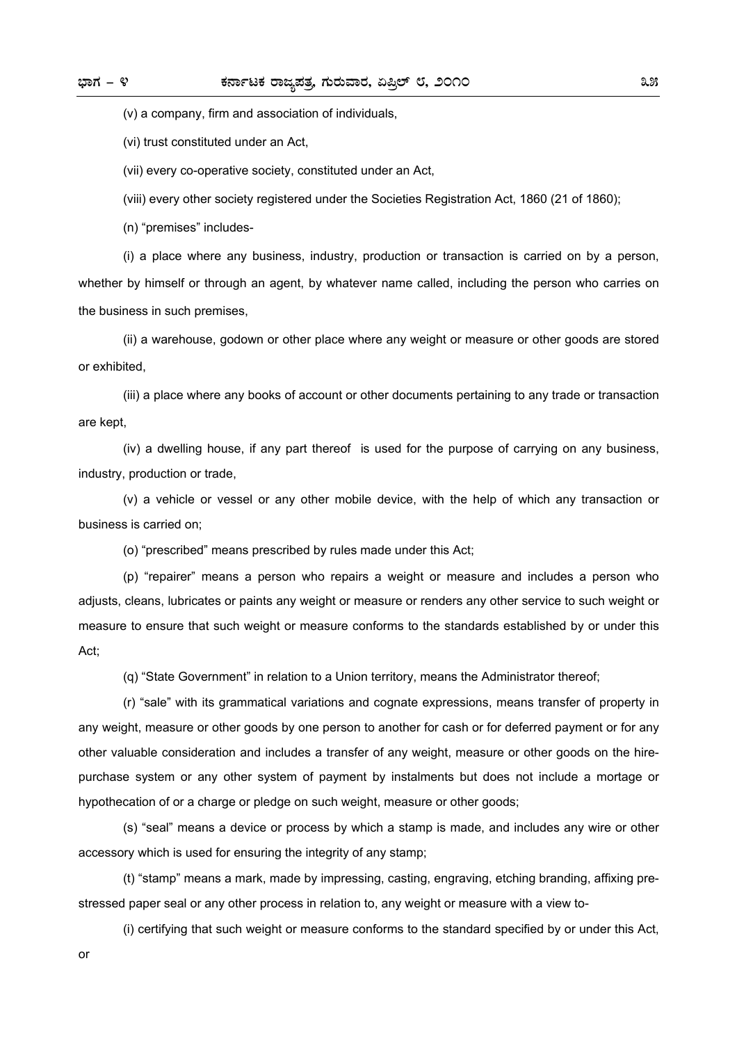(v) a company, firm and association of individuals,

(vi) trust constituted under an Act,

(vii) every co-operative society, constituted under an Act,

(viii) every other society registered under the Societies Registration Act, 1860 (21 of 1860);

(n) "premises" includes-

 (i) a place where any business, industry, production or transaction is carried on by a person, whether by himself or through an agent, by whatever name called, including the person who carries on the business in such premises,

 (ii) a warehouse, godown or other place where any weight or measure or other goods are stored or exhibited,

 (iii) a place where any books of account or other documents pertaining to any trade or transaction are kept,

 (iv) a dwelling house, if any part thereof is used for the purpose of carrying on any business, industry, production or trade,

 (v) a vehicle or vessel or any other mobile device, with the help of which any transaction or business is carried on;

(o) "prescribed" means prescribed by rules made under this Act;

 (p) "repairer" means a person who repairs a weight or measure and includes a person who adjusts, cleans, lubricates or paints any weight or measure or renders any other service to such weight or measure to ensure that such weight or measure conforms to the standards established by or under this Act;

(q) "State Government" in relation to a Union territory, means the Administrator thereof;

 (r) "sale" with its grammatical variations and cognate expressions, means transfer of property in any weight, measure or other goods by one person to another for cash or for deferred payment or for any other valuable consideration and includes a transfer of any weight, measure or other goods on the hirepurchase system or any other system of payment by instalments but does not include a mortage or hypothecation of or a charge or pledge on such weight, measure or other goods;

 (s) "seal" means a device or process by which a stamp is made, and includes any wire or other accessory which is used for ensuring the integrity of any stamp;

 (t) "stamp" means a mark, made by impressing, casting, engraving, etching branding, affixing prestressed paper seal or any other process in relation to, any weight or measure with a view to-

(i) certifying that such weight or measure conforms to the standard specified by or under this Act,

or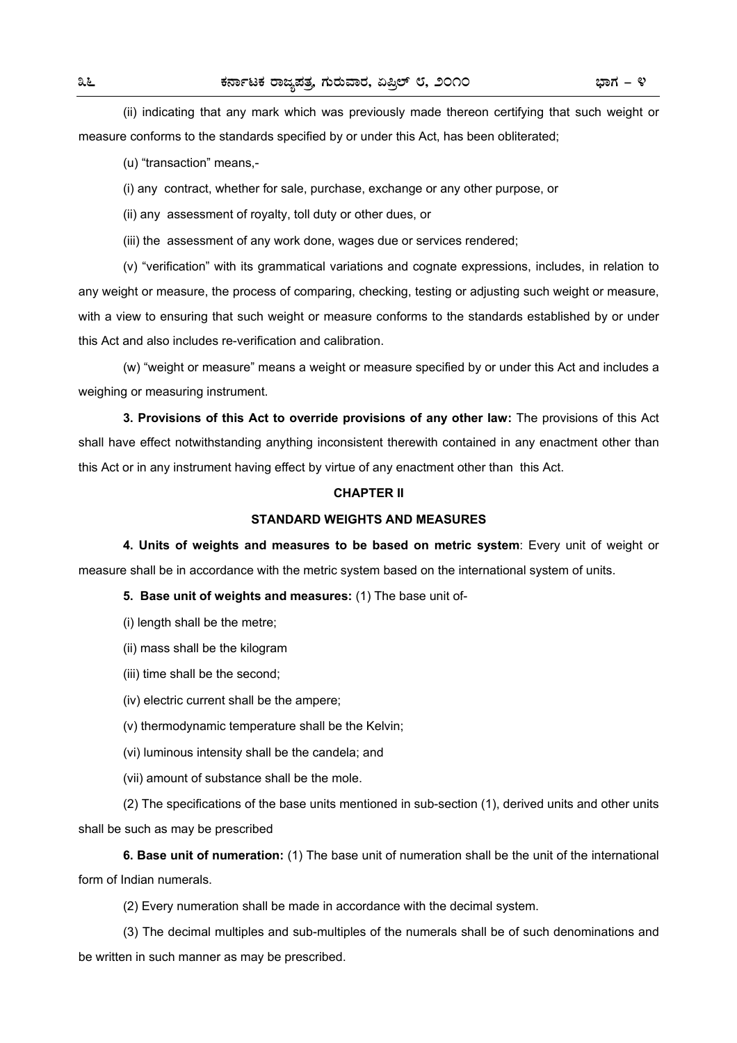(ii) indicating that any mark which was previously made thereon certifying that such weight or measure conforms to the standards specified by or under this Act, has been obliterated;

(u) "transaction" means,-

(i) any contract, whether for sale, purchase, exchange or any other purpose, or

(ii) any assessment of royalty, toll duty or other dues, or

(iii) the assessment of any work done, wages due or services rendered;

 (v) "verification" with its grammatical variations and cognate expressions, includes, in relation to any weight or measure, the process of comparing, checking, testing or adjusting such weight or measure, with a view to ensuring that such weight or measure conforms to the standards established by or under this Act and also includes re-verification and calibration.

 (w) "weight or measure" means a weight or measure specified by or under this Act and includes a weighing or measuring instrument.

**3. Provisions of this Act to override provisions of any other law:** The provisions of this Act shall have effect notwithstanding anything inconsistent therewith contained in any enactment other than this Act or in any instrument having effect by virtue of any enactment other than this Act.

#### **CHAPTER II**

#### **STANDARD WEIGHTS AND MEASURES**

**4. Units of weights and measures to be based on metric system**: Every unit of weight or measure shall be in accordance with the metric system based on the international system of units.

#### **5. Base unit of weights and measures:** (1) The base unit of-

- (i) length shall be the metre;
- (ii) mass shall be the kilogram
- (iii) time shall be the second;
- (iv) electric current shall be the ampere;
- (v) thermodynamic temperature shall be the Kelvin;
- (vi) luminous intensity shall be the candela; and
- (vii) amount of substance shall be the mole.

 (2) The specifications of the base units mentioned in sub-section (1), derived units and other units shall be such as may be prescribed

**6. Base unit of numeration:** (1) The base unit of numeration shall be the unit of the international form of Indian numerals.

(2) Every numeration shall be made in accordance with the decimal system.

 (3) The decimal multiples and sub-multiples of the numerals shall be of such denominations and be written in such manner as may be prescribed.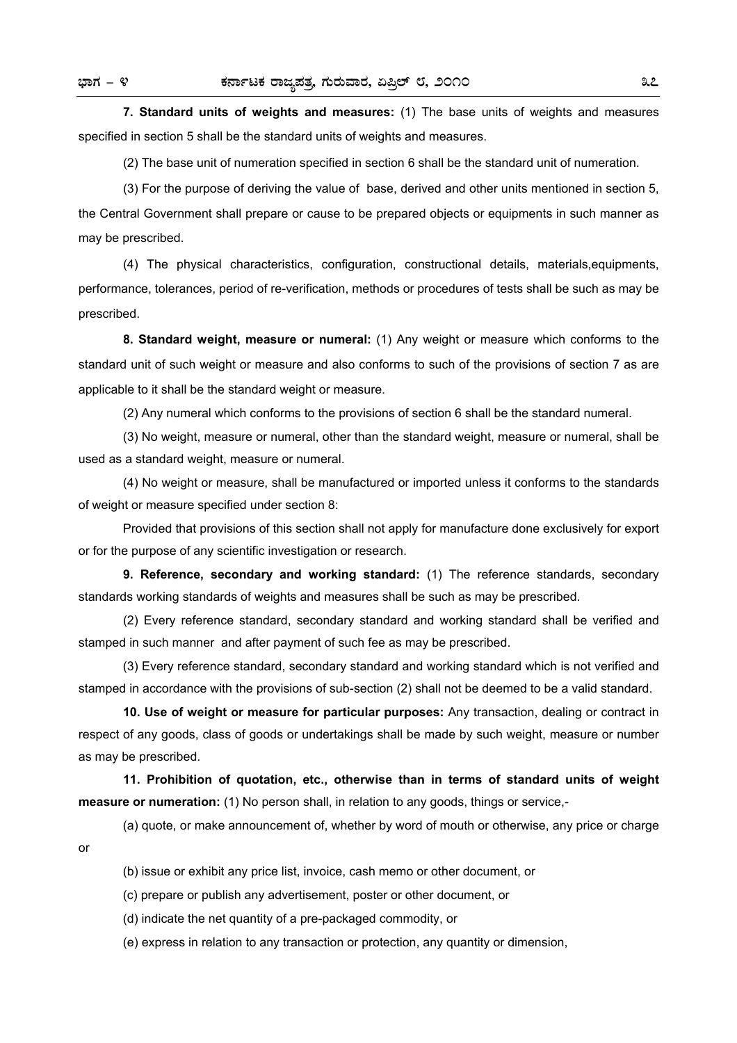or

**7. Standard units of weights and measures:** (1) The base units of weights and measures specified in section 5 shall be the standard units of weights and measures.

(2) The base unit of numeration specified in section 6 shall be the standard unit of numeration.

 (3) For the purpose of deriving the value of base, derived and other units mentioned in section 5, the Central Government shall prepare or cause to be prepared objects or equipments in such manner as may be prescribed.

 (4) The physical characteristics, configuration, constructional details, materials,equipments, performance, tolerances, period of re-verification, methods or procedures of tests shall be such as may be prescribed.

**8. Standard weight, measure or numeral:** (1) Any weight or measure which conforms to the standard unit of such weight or measure and also conforms to such of the provisions of section 7 as are applicable to it shall be the standard weight or measure.

(2) Any numeral which conforms to the provisions of section 6 shall be the standard numeral.

 (3) No weight, measure or numeral, other than the standard weight, measure or numeral, shall be used as a standard weight, measure or numeral.

 (4) No weight or measure, shall be manufactured or imported unless it conforms to the standards of weight or measure specified under section 8:

 Provided that provisions of this section shall not apply for manufacture done exclusively for export or for the purpose of any scientific investigation or research.

**9. Reference, secondary and working standard:** (1) The reference standards, secondary standards working standards of weights and measures shall be such as may be prescribed.

 (2) Every reference standard, secondary standard and working standard shall be verified and stamped in such manner and after payment of such fee as may be prescribed.

 (3) Every reference standard, secondary standard and working standard which is not verified and stamped in accordance with the provisions of sub-section (2) shall not be deemed to be a valid standard.

**10. Use of weight or measure for particular purposes:** Any transaction, dealing or contract in respect of any goods, class of goods or undertakings shall be made by such weight, measure or number as may be prescribed.

**11. Prohibition of quotation, etc., otherwise than in terms of standard units of weight measure or numeration:** (1) No person shall, in relation to any goods, things or service,-

(a) quote, or make announcement of, whether by word of mouth or otherwise, any price or charge

(b) issue or exhibit any price list, invoice, cash memo or other document, or

(c) prepare or publish any advertisement, poster or other document, or

(d) indicate the net quantity of a pre-packaged commodity, or

(e) express in relation to any transaction or protection, any quantity or dimension,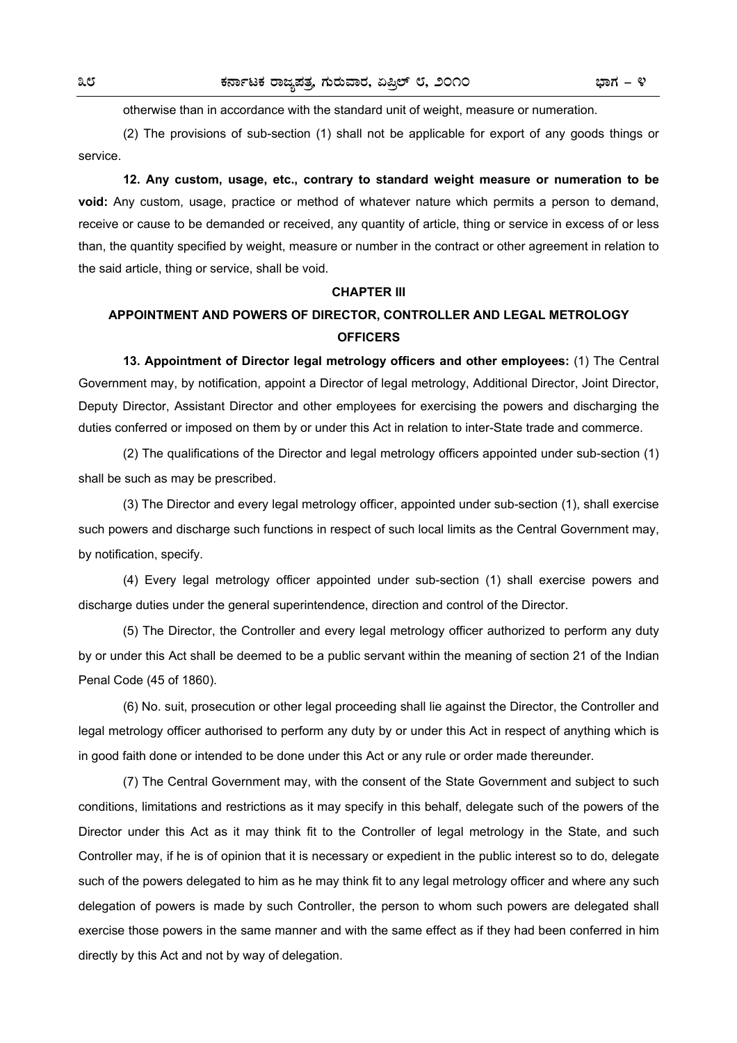otherwise than in accordance with the standard unit of weight, measure or numeration.

 (2) The provisions of sub-section (1) shall not be applicable for export of any goods things or service.

**12. Any custom, usage, etc., contrary to standard weight measure or numeration to be void:** Any custom, usage, practice or method of whatever nature which permits a person to demand, receive or cause to be demanded or received, any quantity of article, thing or service in excess of or less than, the quantity specified by weight, measure or number in the contract or other agreement in relation to the said article, thing or service, shall be void.

#### **CHAPTER III**

# **APPOINTMENT AND POWERS OF DIRECTOR, CONTROLLER AND LEGAL METROLOGY OFFICERS**

**13. Appointment of Director legal metrology officers and other employees:** (1) The Central Government may, by notification, appoint a Director of legal metrology, Additional Director, Joint Director, Deputy Director, Assistant Director and other employees for exercising the powers and discharging the duties conferred or imposed on them by or under this Act in relation to inter-State trade and commerce.

 (2) The qualifications of the Director and legal metrology officers appointed under sub-section (1) shall be such as may be prescribed.

 (3) The Director and every legal metrology officer, appointed under sub-section (1), shall exercise such powers and discharge such functions in respect of such local limits as the Central Government may, by notification, specify.

 (4) Every legal metrology officer appointed under sub-section (1) shall exercise powers and discharge duties under the general superintendence, direction and control of the Director.

 (5) The Director, the Controller and every legal metrology officer authorized to perform any duty by or under this Act shall be deemed to be a public servant within the meaning of section 21 of the Indian Penal Code (45 of 1860).

 (6) No. suit, prosecution or other legal proceeding shall lie against the Director, the Controller and legal metrology officer authorised to perform any duty by or under this Act in respect of anything which is in good faith done or intended to be done under this Act or any rule or order made thereunder.

 (7) The Central Government may, with the consent of the State Government and subject to such conditions, limitations and restrictions as it may specify in this behalf, delegate such of the powers of the Director under this Act as it may think fit to the Controller of legal metrology in the State, and such Controller may, if he is of opinion that it is necessary or expedient in the public interest so to do, delegate such of the powers delegated to him as he may think fit to any legal metrology officer and where any such delegation of powers is made by such Controller, the person to whom such powers are delegated shall exercise those powers in the same manner and with the same effect as if they had been conferred in him directly by this Act and not by way of delegation.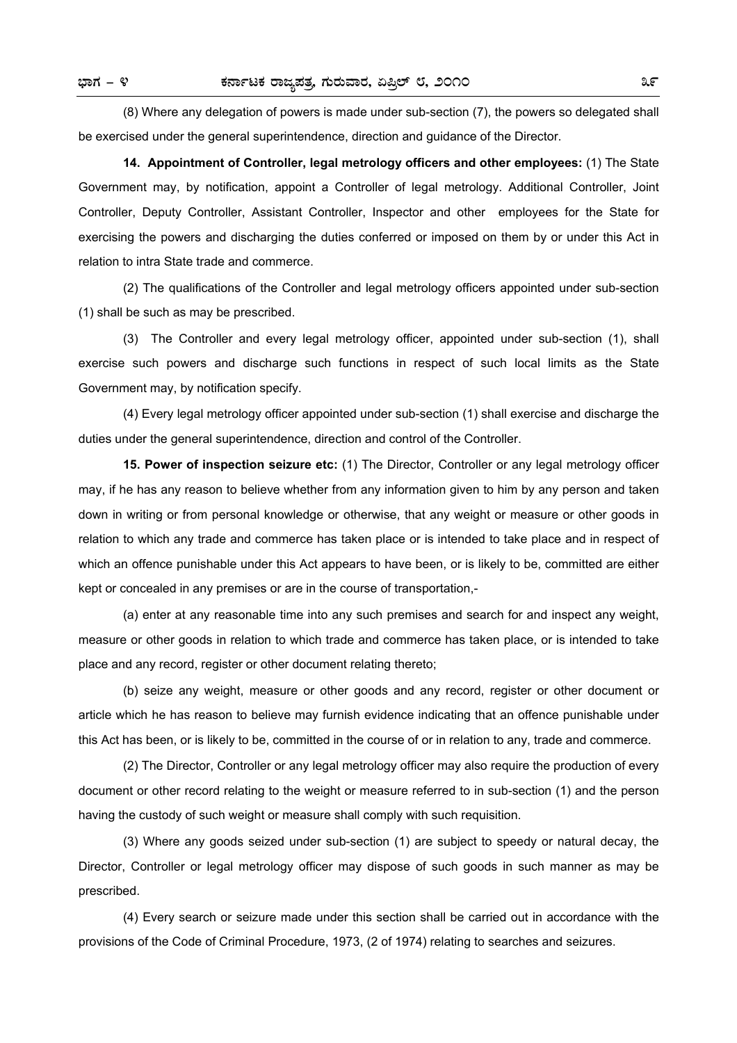(8) Where any delegation of powers is made under sub-section (7), the powers so delegated shall be exercised under the general superintendence, direction and guidance of the Director.

**14. Appointment of Controller, legal metrology officers and other employees:** (1) The State Government may, by notification, appoint a Controller of legal metrology. Additional Controller, Joint Controller, Deputy Controller, Assistant Controller, Inspector and other employees for the State for exercising the powers and discharging the duties conferred or imposed on them by or under this Act in relation to intra State trade and commerce.

 (2) The qualifications of the Controller and legal metrology officers appointed under sub-section (1) shall be such as may be prescribed.

 (3) The Controller and every legal metrology officer, appointed under sub-section (1), shall exercise such powers and discharge such functions in respect of such local limits as the State Government may, by notification specify.

 (4) Every legal metrology officer appointed under sub-section (1) shall exercise and discharge the duties under the general superintendence, direction and control of the Controller.

**15. Power of inspection seizure etc:** (1) The Director, Controller or any legal metrology officer may, if he has any reason to believe whether from any information given to him by any person and taken down in writing or from personal knowledge or otherwise, that any weight or measure or other goods in relation to which any trade and commerce has taken place or is intended to take place and in respect of which an offence punishable under this Act appears to have been, or is likely to be, committed are either kept or concealed in any premises or are in the course of transportation,-

 (a) enter at any reasonable time into any such premises and search for and inspect any weight, measure or other goods in relation to which trade and commerce has taken place, or is intended to take place and any record, register or other document relating thereto;

 (b) seize any weight, measure or other goods and any record, register or other document or article which he has reason to believe may furnish evidence indicating that an offence punishable under this Act has been, or is likely to be, committed in the course of or in relation to any, trade and commerce.

 (2) The Director, Controller or any legal metrology officer may also require the production of every document or other record relating to the weight or measure referred to in sub-section (1) and the person having the custody of such weight or measure shall comply with such requisition.

 (3) Where any goods seized under sub-section (1) are subject to speedy or natural decay, the Director, Controller or legal metrology officer may dispose of such goods in such manner as may be prescribed.

 (4) Every search or seizure made under this section shall be carried out in accordance with the provisions of the Code of Criminal Procedure, 1973, (2 of 1974) relating to searches and seizures.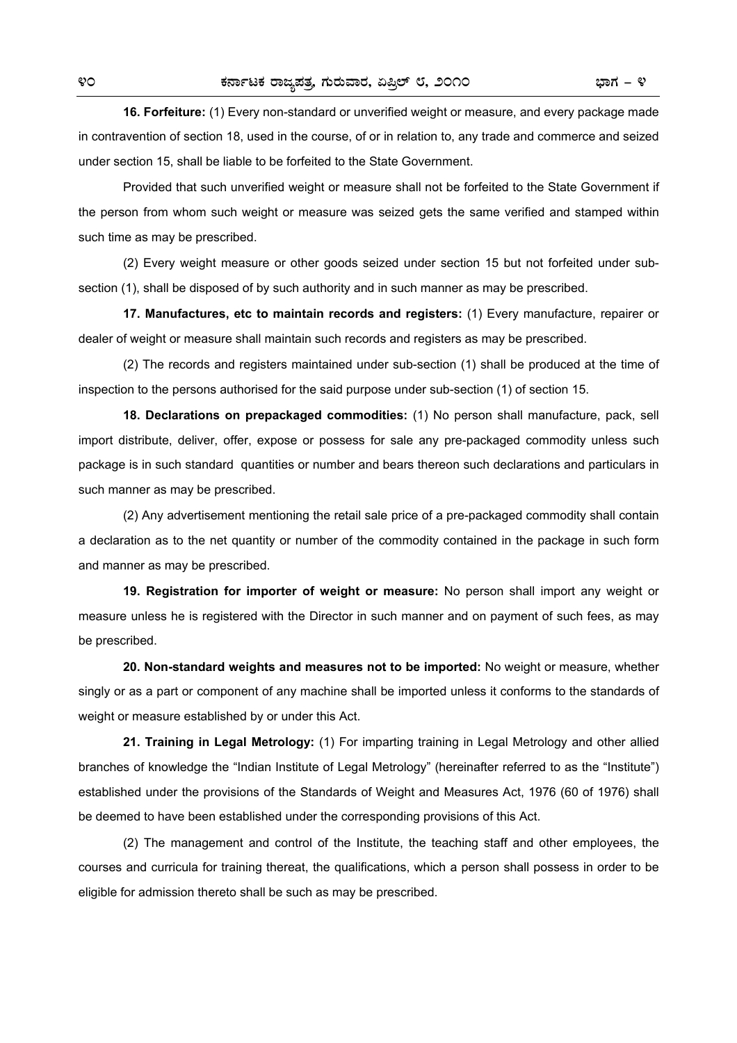**16. Forfeiture:** (1) Every non-standard or unverified weight or measure, and every package made in contravention of section 18, used in the course, of or in relation to, any trade and commerce and seized under section 15, shall be liable to be forfeited to the State Government.

 Provided that such unverified weight or measure shall not be forfeited to the State Government if the person from whom such weight or measure was seized gets the same verified and stamped within such time as may be prescribed.

 (2) Every weight measure or other goods seized under section 15 but not forfeited under subsection (1), shall be disposed of by such authority and in such manner as may be prescribed.

**17. Manufactures, etc to maintain records and registers:** (1) Every manufacture, repairer or dealer of weight or measure shall maintain such records and registers as may be prescribed.

 (2) The records and registers maintained under sub-section (1) shall be produced at the time of inspection to the persons authorised for the said purpose under sub-section (1) of section 15.

**18. Declarations on prepackaged commodities:** (1) No person shall manufacture, pack, sell import distribute, deliver, offer, expose or possess for sale any pre-packaged commodity unless such package is in such standard quantities or number and bears thereon such declarations and particulars in such manner as may be prescribed.

 (2) Any advertisement mentioning the retail sale price of a pre-packaged commodity shall contain a declaration as to the net quantity or number of the commodity contained in the package in such form and manner as may be prescribed.

**19. Registration for importer of weight or measure:** No person shall import any weight or measure unless he is registered with the Director in such manner and on payment of such fees, as may be prescribed.

**20. Non-standard weights and measures not to be imported:** No weight or measure, whether singly or as a part or component of any machine shall be imported unless it conforms to the standards of weight or measure established by or under this Act.

**21. Training in Legal Metrology:** (1) For imparting training in Legal Metrology and other allied branches of knowledge the "Indian Institute of Legal Metrology" (hereinafter referred to as the "Institute") established under the provisions of the Standards of Weight and Measures Act, 1976 (60 of 1976) shall be deemed to have been established under the corresponding provisions of this Act.

 (2) The management and control of the Institute, the teaching staff and other employees, the courses and curricula for training thereat, the qualifications, which a person shall possess in order to be eligible for admission thereto shall be such as may be prescribed.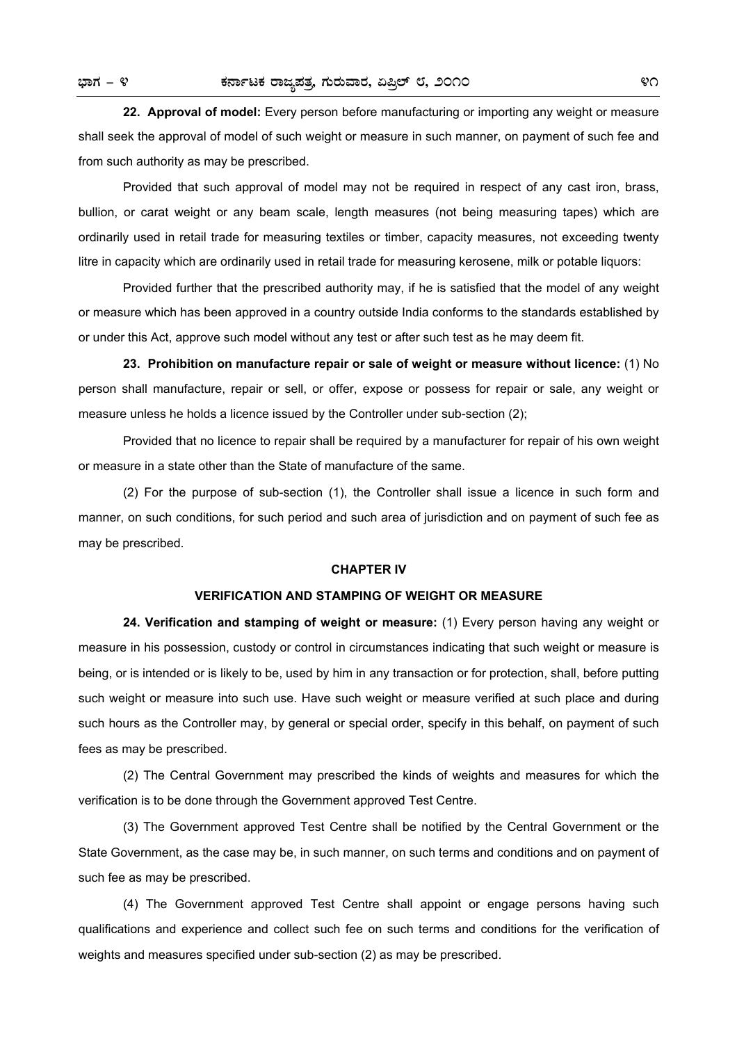**22. Approval of model:** Every person before manufacturing or importing any weight or measure shall seek the approval of model of such weight or measure in such manner, on payment of such fee and from such authority as may be prescribed.

 Provided that such approval of model may not be required in respect of any cast iron, brass, bullion, or carat weight or any beam scale, length measures (not being measuring tapes) which are ordinarily used in retail trade for measuring textiles or timber, capacity measures, not exceeding twenty litre in capacity which are ordinarily used in retail trade for measuring kerosene, milk or potable liquors:

 Provided further that the prescribed authority may, if he is satisfied that the model of any weight or measure which has been approved in a country outside India conforms to the standards established by or under this Act, approve such model without any test or after such test as he may deem fit.

**23. Prohibition on manufacture repair or sale of weight or measure without licence:** (1) No person shall manufacture, repair or sell, or offer, expose or possess for repair or sale, any weight or measure unless he holds a licence issued by the Controller under sub-section (2);

 Provided that no licence to repair shall be required by a manufacturer for repair of his own weight or measure in a state other than the State of manufacture of the same.

 (2) For the purpose of sub-section (1), the Controller shall issue a licence in such form and manner, on such conditions, for such period and such area of jurisdiction and on payment of such fee as may be prescribed.

#### **CHAPTER IV**

#### **VERIFICATION AND STAMPING OF WEIGHT OR MEASURE**

**24. Verification and stamping of weight or measure:** (1) Every person having any weight or measure in his possession, custody or control in circumstances indicating that such weight or measure is being, or is intended or is likely to be, used by him in any transaction or for protection, shall, before putting such weight or measure into such use. Have such weight or measure verified at such place and during such hours as the Controller may, by general or special order, specify in this behalf, on payment of such fees as may be prescribed.

 (2) The Central Government may prescribed the kinds of weights and measures for which the verification is to be done through the Government approved Test Centre.

 (3) The Government approved Test Centre shall be notified by the Central Government or the State Government, as the case may be, in such manner, on such terms and conditions and on payment of such fee as may be prescribed.

 (4) The Government approved Test Centre shall appoint or engage persons having such qualifications and experience and collect such fee on such terms and conditions for the verification of weights and measures specified under sub-section (2) as may be prescribed.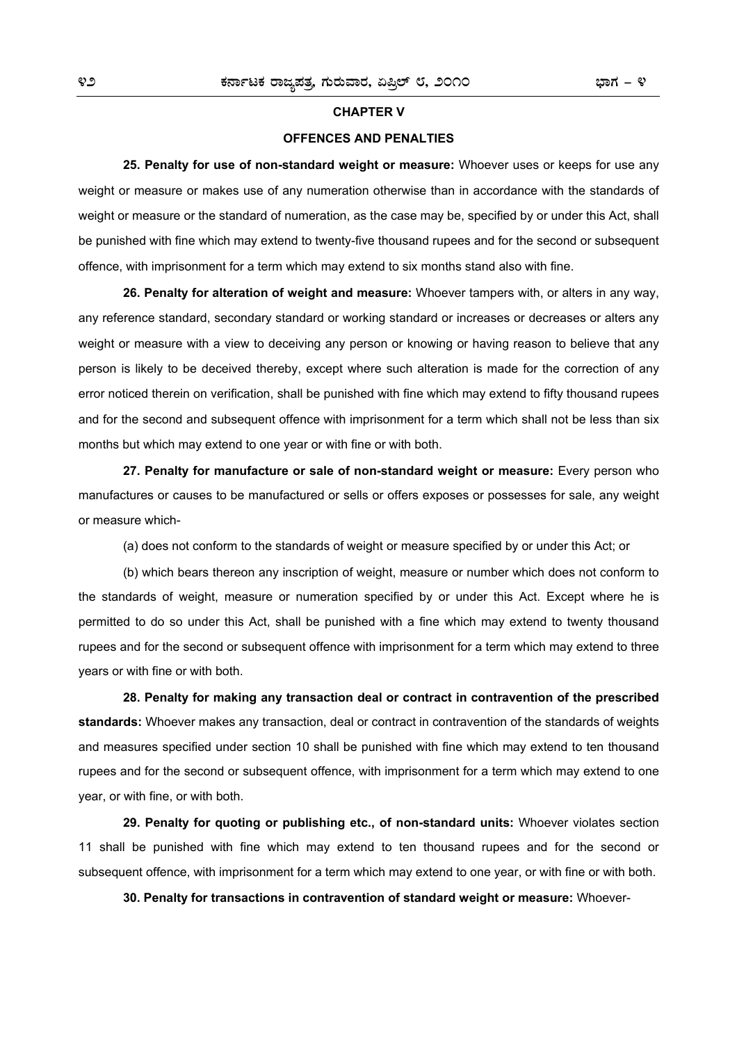#### **CHAPTER V**

#### **OFFENCES AND PENALTIES**

**25. Penalty for use of non-standard weight or measure:** Whoever uses or keeps for use any weight or measure or makes use of any numeration otherwise than in accordance with the standards of weight or measure or the standard of numeration, as the case may be, specified by or under this Act, shall be punished with fine which may extend to twenty-five thousand rupees and for the second or subsequent offence, with imprisonment for a term which may extend to six months stand also with fine.

**26. Penalty for alteration of weight and measure:** Whoever tampers with, or alters in any way, any reference standard, secondary standard or working standard or increases or decreases or alters any weight or measure with a view to deceiving any person or knowing or having reason to believe that any person is likely to be deceived thereby, except where such alteration is made for the correction of any error noticed therein on verification, shall be punished with fine which may extend to fifty thousand rupees and for the second and subsequent offence with imprisonment for a term which shall not be less than six months but which may extend to one year or with fine or with both.

**27. Penalty for manufacture or sale of non-standard weight or measure:** Every person who manufactures or causes to be manufactured or sells or offers exposes or possesses for sale, any weight or measure which-

(a) does not conform to the standards of weight or measure specified by or under this Act; or

 (b) which bears thereon any inscription of weight, measure or number which does not conform to the standards of weight, measure or numeration specified by or under this Act. Except where he is permitted to do so under this Act, shall be punished with a fine which may extend to twenty thousand rupees and for the second or subsequent offence with imprisonment for a term which may extend to three years or with fine or with both.

**28. Penalty for making any transaction deal or contract in contravention of the prescribed standards:** Whoever makes any transaction, deal or contract in contravention of the standards of weights and measures specified under section 10 shall be punished with fine which may extend to ten thousand rupees and for the second or subsequent offence, with imprisonment for a term which may extend to one year, or with fine, or with both.

**29. Penalty for quoting or publishing etc., of non-standard units:** Whoever violates section 11 shall be punished with fine which may extend to ten thousand rupees and for the second or subsequent offence, with imprisonment for a term which may extend to one year, or with fine or with both.

**30. Penalty for transactions in contravention of standard weight or measure:** Whoever-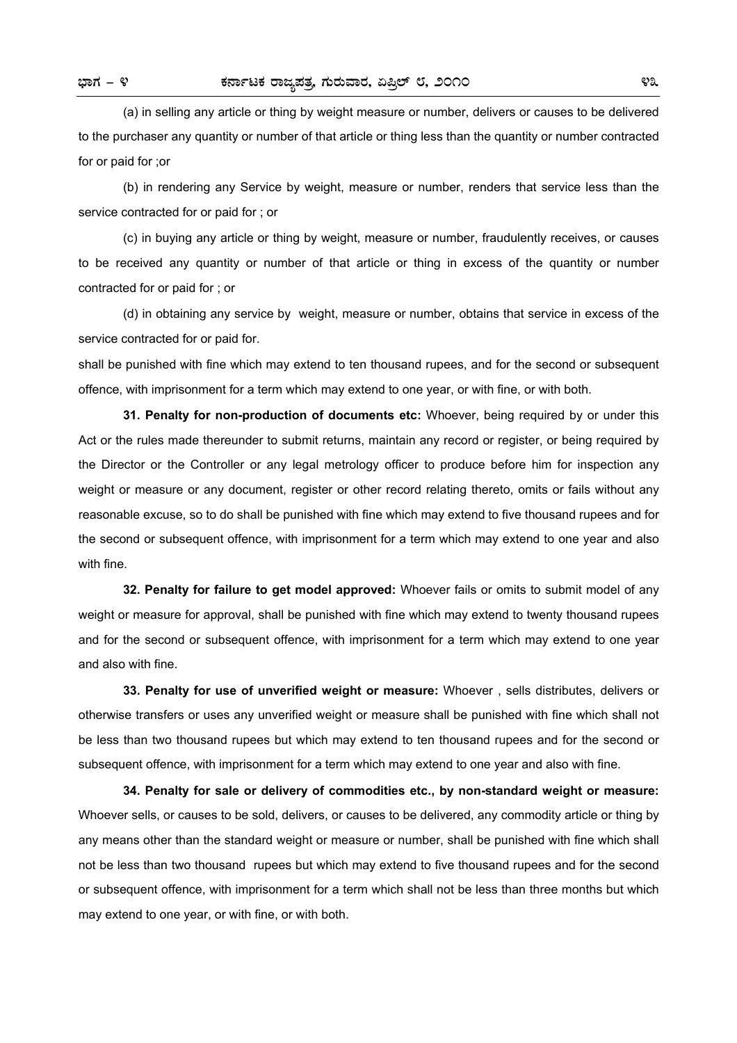(a) in selling any article or thing by weight measure or number, delivers or causes to be delivered to the purchaser any quantity or number of that article or thing less than the quantity or number contracted for or paid for ;or

 (b) in rendering any Service by weight, measure or number, renders that service less than the service contracted for or paid for ; or

 (c) in buying any article or thing by weight, measure or number, fraudulently receives, or causes to be received any quantity or number of that article or thing in excess of the quantity or number contracted for or paid for ; or

 (d) in obtaining any service by weight, measure or number, obtains that service in excess of the service contracted for or paid for.

shall be punished with fine which may extend to ten thousand rupees, and for the second or subsequent offence, with imprisonment for a term which may extend to one year, or with fine, or with both.

**31. Penalty for non-production of documents etc:** Whoever, being required by or under this Act or the rules made thereunder to submit returns, maintain any record or register, or being required by the Director or the Controller or any legal metrology officer to produce before him for inspection any weight or measure or any document, register or other record relating thereto, omits or fails without any reasonable excuse, so to do shall be punished with fine which may extend to five thousand rupees and for the second or subsequent offence, with imprisonment for a term which may extend to one year and also with fine.

**32. Penalty for failure to get model approved:** Whoever fails or omits to submit model of any weight or measure for approval, shall be punished with fine which may extend to twenty thousand rupees and for the second or subsequent offence, with imprisonment for a term which may extend to one year and also with fine.

**33. Penalty for use of unverified weight or measure:** Whoever , sells distributes, delivers or otherwise transfers or uses any unverified weight or measure shall be punished with fine which shall not be less than two thousand rupees but which may extend to ten thousand rupees and for the second or subsequent offence, with imprisonment for a term which may extend to one year and also with fine.

**34. Penalty for sale or delivery of commodities etc., by non-standard weight or measure:** Whoever sells, or causes to be sold, delivers, or causes to be delivered, any commodity article or thing by any means other than the standard weight or measure or number, shall be punished with fine which shall not be less than two thousand rupees but which may extend to five thousand rupees and for the second or subsequent offence, with imprisonment for a term which shall not be less than three months but which may extend to one year, or with fine, or with both.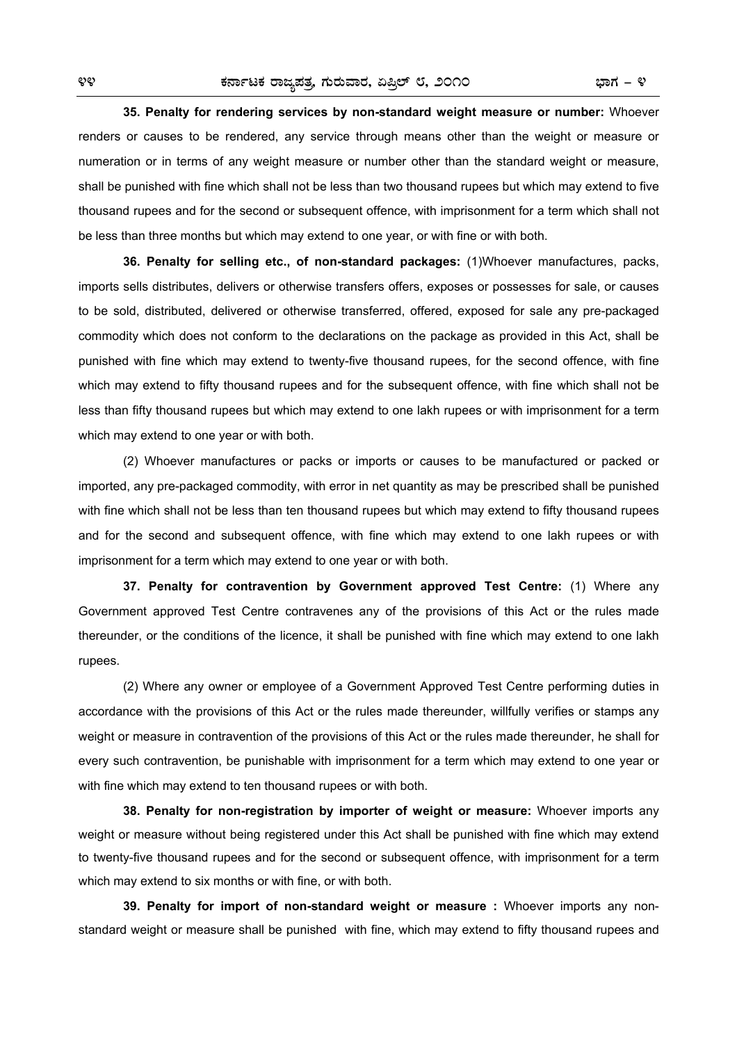**35. Penalty for rendering services by non-standard weight measure or number:** Whoever renders or causes to be rendered, any service through means other than the weight or measure or numeration or in terms of any weight measure or number other than the standard weight or measure, shall be punished with fine which shall not be less than two thousand rupees but which may extend to five thousand rupees and for the second or subsequent offence, with imprisonment for a term which shall not be less than three months but which may extend to one year, or with fine or with both.

**36. Penalty for selling etc., of non-standard packages:** (1)Whoever manufactures, packs, imports sells distributes, delivers or otherwise transfers offers, exposes or possesses for sale, or causes to be sold, distributed, delivered or otherwise transferred, offered, exposed for sale any pre-packaged commodity which does not conform to the declarations on the package as provided in this Act, shall be punished with fine which may extend to twenty-five thousand rupees, for the second offence, with fine which may extend to fifty thousand rupees and for the subsequent offence, with fine which shall not be less than fifty thousand rupees but which may extend to one lakh rupees or with imprisonment for a term which may extend to one year or with both.

 (2) Whoever manufactures or packs or imports or causes to be manufactured or packed or imported, any pre-packaged commodity, with error in net quantity as may be prescribed shall be punished with fine which shall not be less than ten thousand rupees but which may extend to fifty thousand rupees and for the second and subsequent offence, with fine which may extend to one lakh rupees or with imprisonment for a term which may extend to one year or with both.

**37. Penalty for contravention by Government approved Test Centre:** (1) Where any Government approved Test Centre contravenes any of the provisions of this Act or the rules made thereunder, or the conditions of the licence, it shall be punished with fine which may extend to one lakh rupees.

 (2) Where any owner or employee of a Government Approved Test Centre performing duties in accordance with the provisions of this Act or the rules made thereunder, willfully verifies or stamps any weight or measure in contravention of the provisions of this Act or the rules made thereunder, he shall for every such contravention, be punishable with imprisonment for a term which may extend to one year or with fine which may extend to ten thousand rupees or with both.

**38. Penalty for non-registration by importer of weight or measure:** Whoever imports any weight or measure without being registered under this Act shall be punished with fine which may extend to twenty-five thousand rupees and for the second or subsequent offence, with imprisonment for a term which may extend to six months or with fine, or with both.

**39. Penalty for import of non-standard weight or measure :** Whoever imports any nonstandard weight or measure shall be punished with fine, which may extend to fifty thousand rupees and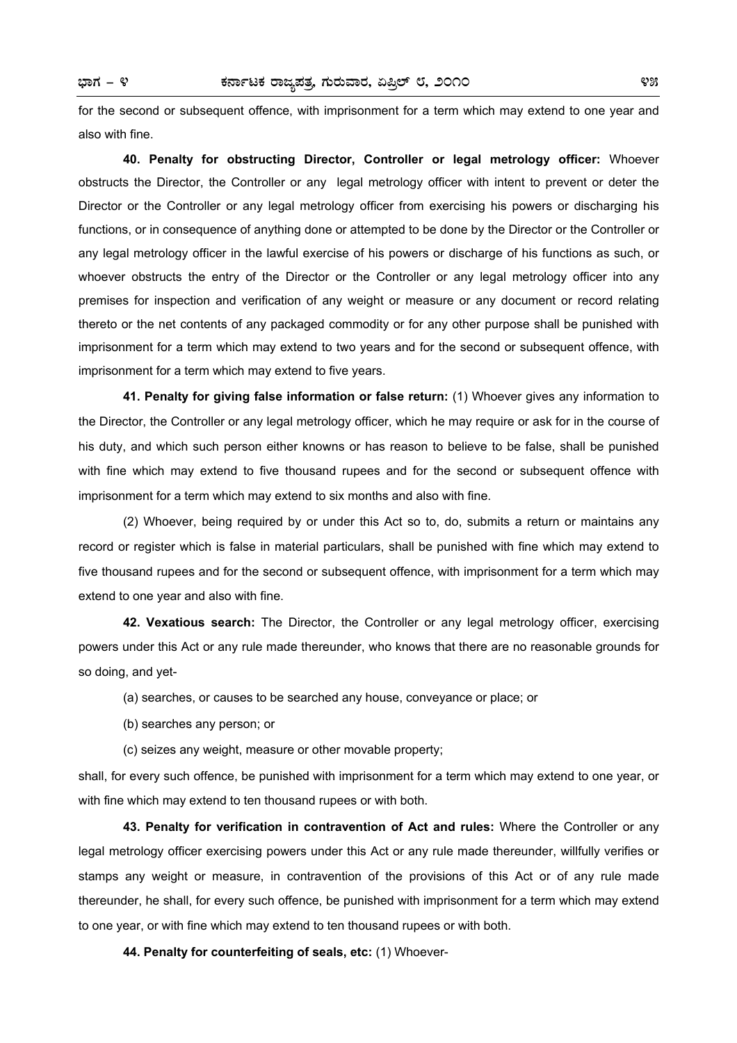for the second or subsequent offence, with imprisonment for a term which may extend to one year and also with fine.

**40. Penalty for obstructing Director, Controller or legal metrology officer:** Whoever obstructs the Director, the Controller or any legal metrology officer with intent to prevent or deter the Director or the Controller or any legal metrology officer from exercising his powers or discharging his functions, or in consequence of anything done or attempted to be done by the Director or the Controller or any legal metrology officer in the lawful exercise of his powers or discharge of his functions as such, or whoever obstructs the entry of the Director or the Controller or any legal metrology officer into any premises for inspection and verification of any weight or measure or any document or record relating thereto or the net contents of any packaged commodity or for any other purpose shall be punished with imprisonment for a term which may extend to two years and for the second or subsequent offence, with imprisonment for a term which may extend to five years.

**41. Penalty for giving false information or false return:** (1) Whoever gives any information to the Director, the Controller or any legal metrology officer, which he may require or ask for in the course of his duty, and which such person either knowns or has reason to believe to be false, shall be punished with fine which may extend to five thousand rupees and for the second or subsequent offence with imprisonment for a term which may extend to six months and also with fine.

 (2) Whoever, being required by or under this Act so to, do, submits a return or maintains any record or register which is false in material particulars, shall be punished with fine which may extend to five thousand rupees and for the second or subsequent offence, with imprisonment for a term which may extend to one year and also with fine.

**42. Vexatious search:** The Director, the Controller or any legal metrology officer, exercising powers under this Act or any rule made thereunder, who knows that there are no reasonable grounds for so doing, and yet-

- (a) searches, or causes to be searched any house, conveyance or place; or
- (b) searches any person; or
- (c) seizes any weight, measure or other movable property;

shall, for every such offence, be punished with imprisonment for a term which may extend to one year, or with fine which may extend to ten thousand rupees or with both.

**43. Penalty for verification in contravention of Act and rules:** Where the Controller or any legal metrology officer exercising powers under this Act or any rule made thereunder, willfully verifies or stamps any weight or measure, in contravention of the provisions of this Act or of any rule made thereunder, he shall, for every such offence, be punished with imprisonment for a term which may extend to one year, or with fine which may extend to ten thousand rupees or with both.

**44. Penalty for counterfeiting of seals, etc:** (1) Whoever-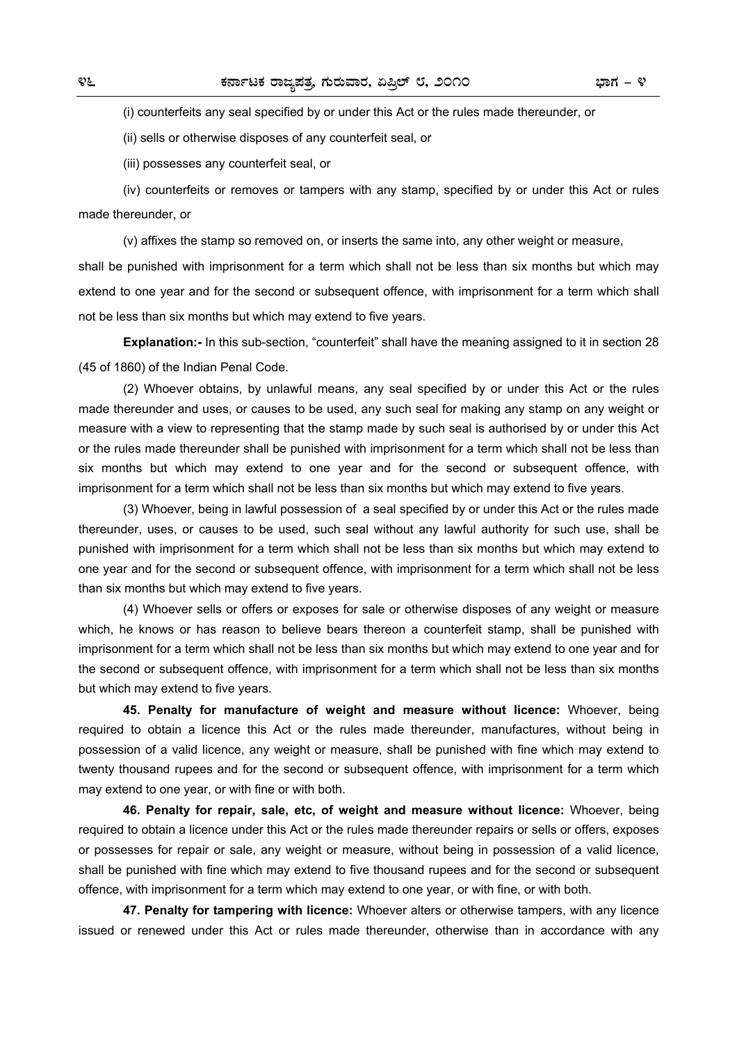(i) counterfeits any seal specified by or under this Act or the rules made thereunder, or

(ii) sells or otherwise disposes of any counterfeit seal, or

(iii) possesses any counterfeit seal, or

 (iv) counterfeits or removes or tampers with any stamp, specified by or under this Act or rules made thereunder, or

(v) affixes the stamp so removed on, or inserts the same into, any other weight or measure,

shall be punished with imprisonment for a term which shall not be less than six months but which may extend to one year and for the second or subsequent offence, with imprisonment for a term which shall not be less than six months but which may extend to five years.

**Explanation:-** In this sub-section, "counterfeit" shall have the meaning assigned to it in section 28 (45 of 1860) of the Indian Penal Code.

 (2) Whoever obtains, by unlawful means, any seal specified by or under this Act or the rules made thereunder and uses, or causes to be used, any such seal for making any stamp on any weight or measure with a view to representing that the stamp made by such seal is authorised by or under this Act or the rules made thereunder shall be punished with imprisonment for a term which shall not be less than six months but which may extend to one year and for the second or subsequent offence, with imprisonment for a term which shall not be less than six months but which may extend to five years.

 (3) Whoever, being in lawful possession of a seal specified by or under this Act or the rules made thereunder, uses, or causes to be used, such seal without any lawful authority for such use, shall be punished with imprisonment for a term which shall not be less than six months but which may extend to one year and for the second or subsequent offence, with imprisonment for a term which shall not be less than six months but which may extend to five years.

 (4) Whoever sells or offers or exposes for sale or otherwise disposes of any weight or measure which, he knows or has reason to believe bears thereon a counterfeit stamp, shall be punished with imprisonment for a term which shall not be less than six months but which may extend to one year and for the second or subsequent offence, with imprisonment for a term which shall not be less than six months but which may extend to five years.

**45. Penalty for manufacture of weight and measure without licence:** Whoever, being required to obtain a licence this Act or the rules made thereunder, manufactures, without being in possession of a valid licence, any weight or measure, shall be punished with fine which may extend to twenty thousand rupees and for the second or subsequent offence, with imprisonment for a term which may extend to one year, or with fine or with both.

**46. Penalty for repair, sale, etc, of weight and measure without licence:** Whoever, being required to obtain a licence under this Act or the rules made thereunder repairs or sells or offers, exposes or possesses for repair or sale, any weight or measure, without being in possession of a valid licence, shall be punished with fine which may extend to five thousand rupees and for the second or subsequent offence, with imprisonment for a term which may extend to one year, or with fine, or with both.

**47. Penalty for tampering with licence:** Whoever alters or otherwise tampers, with any licence issued or renewed under this Act or rules made thereunder, otherwise than in accordance with any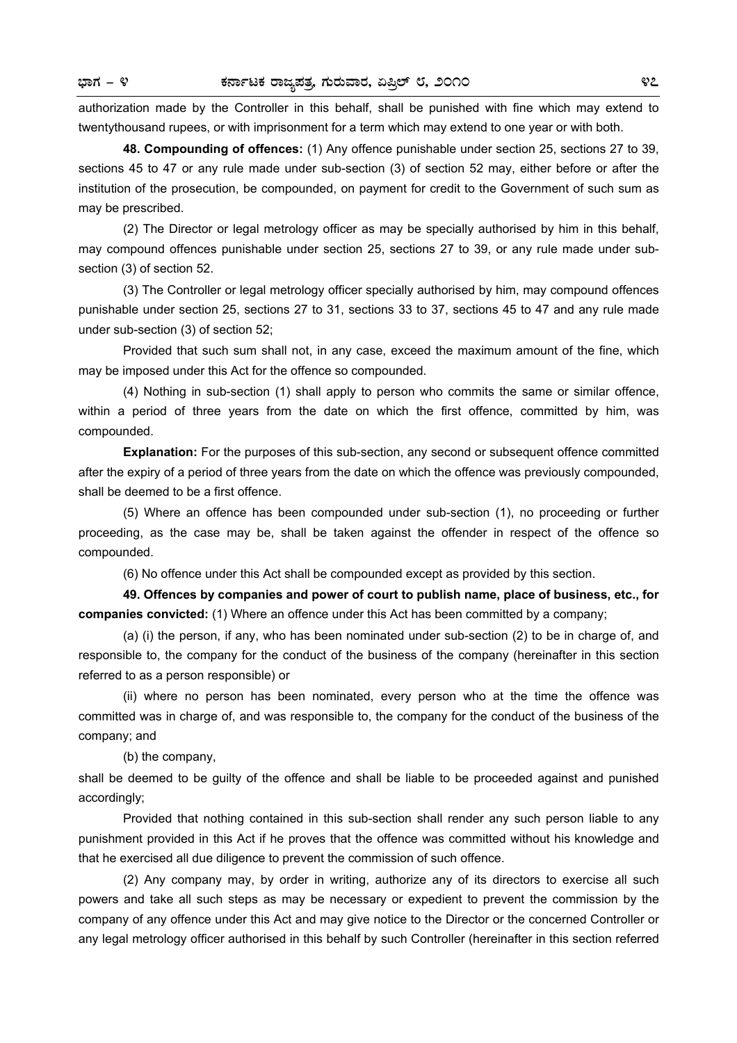authorization made by the Controller in this behalf, shall be punished with fine which may extend to twentythousand rupees, or with imprisonment for a term which may extend to one year or with both.

**48. Compounding of offences:** (1) Any offence punishable under section 25, sections 27 to 39, sections 45 to 47 or any rule made under sub-section (3) of section 52 may, either before or after the institution of the prosecution, be compounded, on payment for credit to the Government of such sum as may be prescribed.

 (2) The Director or legal metrology officer as may be specially authorised by him in this behalf, may compound offences punishable under section 25, sections 27 to 39, or any rule made under subsection (3) of section 52.

 (3) The Controller or legal metrology officer specially authorised by him, may compound offences punishable under section 25, sections 27 to 31, sections 33 to 37, sections 45 to 47 and any rule made under sub-section (3) of section 52;

 Provided that such sum shall not, in any case, exceed the maximum amount of the fine, which may be imposed under this Act for the offence so compounded.

 (4) Nothing in sub-section (1) shall apply to person who commits the same or similar offence, within a period of three years from the date on which the first offence, committed by him, was compounded.

**Explanation:** For the purposes of this sub-section, any second or subsequent offence committed after the expiry of a period of three years from the date on which the offence was previously compounded, shall be deemed to be a first offence.

 (5) Where an offence has been compounded under sub-section (1), no proceeding or further proceeding, as the case may be, shall be taken against the offender in respect of the offence so compounded.

(6) No offence under this Act shall be compounded except as provided by this section.

**49. Offences by companies and power of court to publish name, place of business, etc., for companies convicted:** (1) Where an offence under this Act has been committed by a company;

 (a) (i) the person, if any, who has been nominated under sub-section (2) to be in charge of, and responsible to, the company for the conduct of the business of the company (hereinafter in this section referred to as a person responsible) or

 (ii) where no person has been nominated, every person who at the time the offence was committed was in charge of, and was responsible to, the company for the conduct of the business of the company; and

(b) the company,

shall be deemed to be guilty of the offence and shall be liable to be proceeded against and punished accordingly;

 Provided that nothing contained in this sub-section shall render any such person liable to any punishment provided in this Act if he proves that the offence was committed without his knowledge and that he exercised all due diligence to prevent the commission of such offence.

 (2) Any company may, by order in writing, authorize any of its directors to exercise all such powers and take all such steps as may be necessary or expedient to prevent the commission by the company of any offence under this Act and may give notice to the Director or the concerned Controller or any legal metrology officer authorised in this behalf by such Controller (hereinafter in this section referred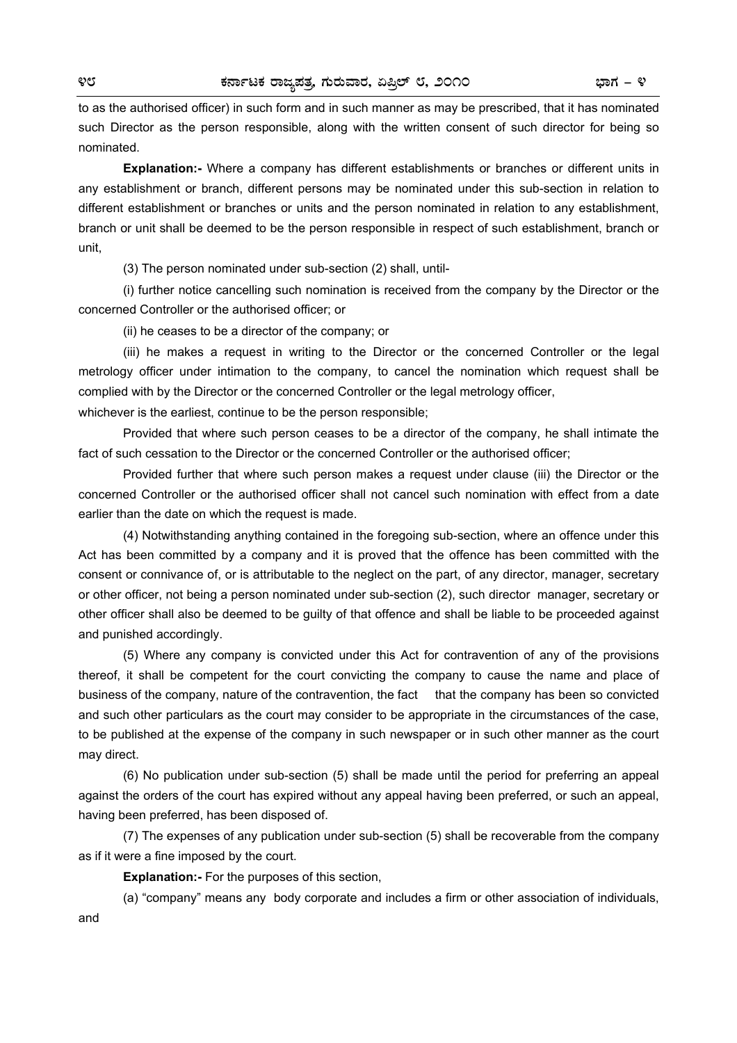to as the authorised officer) in such form and in such manner as may be prescribed, that it has nominated such Director as the person responsible, along with the written consent of such director for being so nominated.

**Explanation:-** Where a company has different establishments or branches or different units in any establishment or branch, different persons may be nominated under this sub-section in relation to different establishment or branches or units and the person nominated in relation to any establishment, branch or unit shall be deemed to be the person responsible in respect of such establishment, branch or unit,

(3) The person nominated under sub-section (2) shall, until-

 (i) further notice cancelling such nomination is received from the company by the Director or the concerned Controller or the authorised officer; or

(ii) he ceases to be a director of the company; or

 (iii) he makes a request in writing to the Director or the concerned Controller or the legal metrology officer under intimation to the company, to cancel the nomination which request shall be complied with by the Director or the concerned Controller or the legal metrology officer,

whichever is the earliest, continue to be the person responsible;

 Provided that where such person ceases to be a director of the company, he shall intimate the fact of such cessation to the Director or the concerned Controller or the authorised officer;

 Provided further that where such person makes a request under clause (iii) the Director or the concerned Controller or the authorised officer shall not cancel such nomination with effect from a date earlier than the date on which the request is made.

 (4) Notwithstanding anything contained in the foregoing sub-section, where an offence under this Act has been committed by a company and it is proved that the offence has been committed with the consent or connivance of, or is attributable to the neglect on the part, of any director, manager, secretary or other officer, not being a person nominated under sub-section (2), such director manager, secretary or other officer shall also be deemed to be guilty of that offence and shall be liable to be proceeded against and punished accordingly.

 (5) Where any company is convicted under this Act for contravention of any of the provisions thereof, it shall be competent for the court convicting the company to cause the name and place of business of the company, nature of the contravention, the fact that the company has been so convicted and such other particulars as the court may consider to be appropriate in the circumstances of the case, to be published at the expense of the company in such newspaper or in such other manner as the court may direct.

 (6) No publication under sub-section (5) shall be made until the period for preferring an appeal against the orders of the court has expired without any appeal having been preferred, or such an appeal, having been preferred, has been disposed of.

 (7) The expenses of any publication under sub-section (5) shall be recoverable from the company as if it were a fine imposed by the court.

**Explanation:-** For the purposes of this section,

 (a) "company" means any body corporate and includes a firm or other association of individuals, and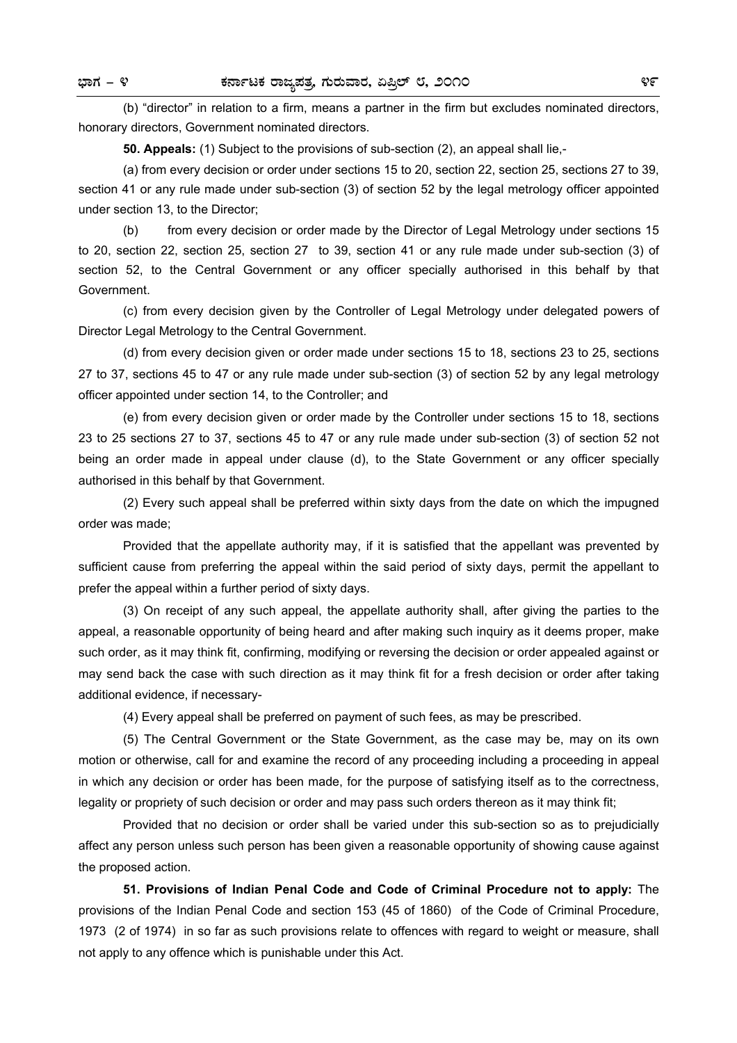(b) "director" in relation to a firm, means a partner in the firm but excludes nominated directors, honorary directors, Government nominated directors.

**50. Appeals:** (1) Subject to the provisions of sub-section (2), an appeal shall lie,-

 (a) from every decision or order under sections 15 to 20, section 22, section 25, sections 27 to 39, section 41 or any rule made under sub-section (3) of section 52 by the legal metrology officer appointed under section 13, to the Director;

 (b) from every decision or order made by the Director of Legal Metrology under sections 15 to 20, section 22, section 25, section 27 to 39, section 41 or any rule made under sub-section (3) of section 52, to the Central Government or any officer specially authorised in this behalf by that Government.

 (c) from every decision given by the Controller of Legal Metrology under delegated powers of Director Legal Metrology to the Central Government.

 (d) from every decision given or order made under sections 15 to 18, sections 23 to 25, sections 27 to 37, sections 45 to 47 or any rule made under sub-section (3) of section 52 by any legal metrology officer appointed under section 14, to the Controller; and

 (e) from every decision given or order made by the Controller under sections 15 to 18, sections 23 to 25 sections 27 to 37, sections 45 to 47 or any rule made under sub-section (3) of section 52 not being an order made in appeal under clause (d), to the State Government or any officer specially authorised in this behalf by that Government.

 (2) Every such appeal shall be preferred within sixty days from the date on which the impugned order was made;

 Provided that the appellate authority may, if it is satisfied that the appellant was prevented by sufficient cause from preferring the appeal within the said period of sixty days, permit the appellant to prefer the appeal within a further period of sixty days.

 (3) On receipt of any such appeal, the appellate authority shall, after giving the parties to the appeal, a reasonable opportunity of being heard and after making such inquiry as it deems proper, make such order, as it may think fit, confirming, modifying or reversing the decision or order appealed against or may send back the case with such direction as it may think fit for a fresh decision or order after taking additional evidence, if necessary-

(4) Every appeal shall be preferred on payment of such fees, as may be prescribed.

 (5) The Central Government or the State Government, as the case may be, may on its own motion or otherwise, call for and examine the record of any proceeding including a proceeding in appeal in which any decision or order has been made, for the purpose of satisfying itself as to the correctness, legality or propriety of such decision or order and may pass such orders thereon as it may think fit;

 Provided that no decision or order shall be varied under this sub-section so as to prejudicially affect any person unless such person has been given a reasonable opportunity of showing cause against the proposed action.

**51. Provisions of Indian Penal Code and Code of Criminal Procedure not to apply:** The provisions of the Indian Penal Code and section 153 (45 of 1860) of the Code of Criminal Procedure, 1973 (2 of 1974) in so far as such provisions relate to offences with regard to weight or measure, shall not apply to any offence which is punishable under this Act.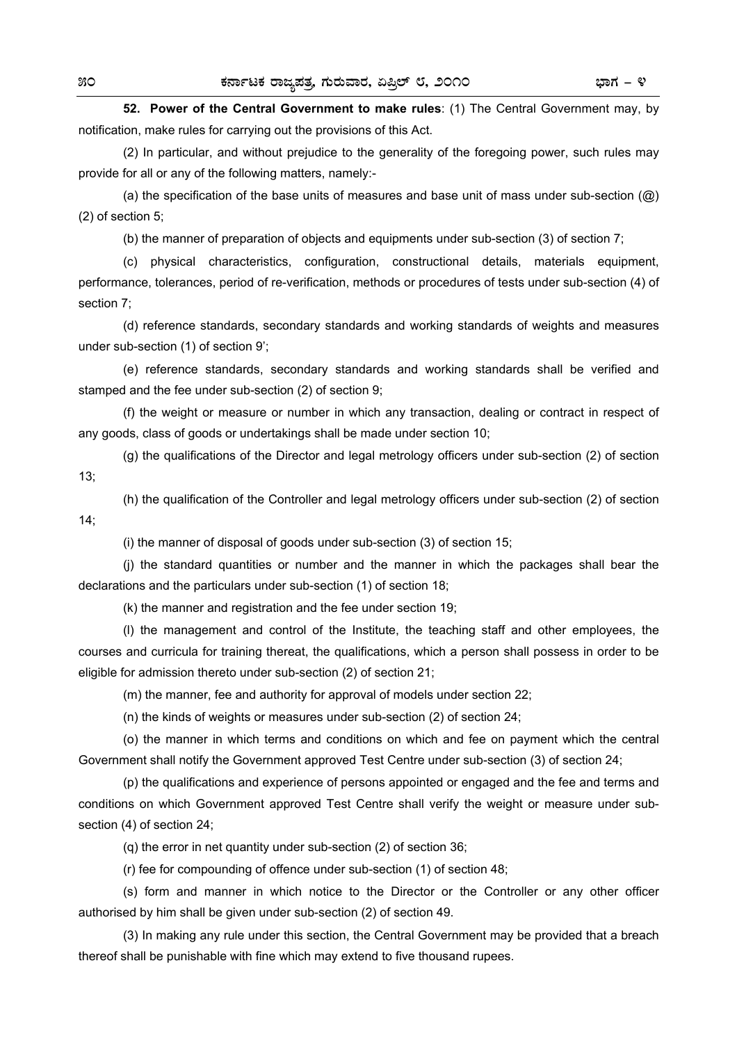**52. Power of the Central Government to make rules**: (1) The Central Government may, by notification, make rules for carrying out the provisions of this Act.

 (2) In particular, and without prejudice to the generality of the foregoing power, such rules may provide for all or any of the following matters, namely:-

(a) the specification of the base units of measures and base unit of mass under sub-section  $(Q)$ (2) of section 5;

(b) the manner of preparation of objects and equipments under sub-section (3) of section 7;

 (c) physical characteristics, configuration, constructional details, materials equipment, performance, tolerances, period of re-verification, methods or procedures of tests under sub-section (4) of section 7;

 (d) reference standards, secondary standards and working standards of weights and measures under sub-section (1) of section 9';

 (e) reference standards, secondary standards and working standards shall be verified and stamped and the fee under sub-section (2) of section 9;

 (f) the weight or measure or number in which any transaction, dealing or contract in respect of any goods, class of goods or undertakings shall be made under section 10;

 (g) the qualifications of the Director and legal metrology officers under sub-section (2) of section 13;

 (h) the qualification of the Controller and legal metrology officers under sub-section (2) of section 14;

(i) the manner of disposal of goods under sub-section (3) of section 15;

 (j) the standard quantities or number and the manner in which the packages shall bear the declarations and the particulars under sub-section (1) of section 18;

(k) the manner and registration and the fee under section 19;

 (l) the management and control of the Institute, the teaching staff and other employees, the courses and curricula for training thereat, the qualifications, which a person shall possess in order to be eligible for admission thereto under sub-section (2) of section 21;

(m) the manner, fee and authority for approval of models under section 22;

(n) the kinds of weights or measures under sub-section (2) of section 24;

 (o) the manner in which terms and conditions on which and fee on payment which the central Government shall notify the Government approved Test Centre under sub-section (3) of section 24;

 (p) the qualifications and experience of persons appointed or engaged and the fee and terms and conditions on which Government approved Test Centre shall verify the weight or measure under subsection (4) of section 24;

(q) the error in net quantity under sub-section (2) of section 36;

(r) fee for compounding of offence under sub-section (1) of section 48;

 (s) form and manner in which notice to the Director or the Controller or any other officer authorised by him shall be given under sub-section (2) of section 49.

 (3) In making any rule under this section, the Central Government may be provided that a breach thereof shall be punishable with fine which may extend to five thousand rupees.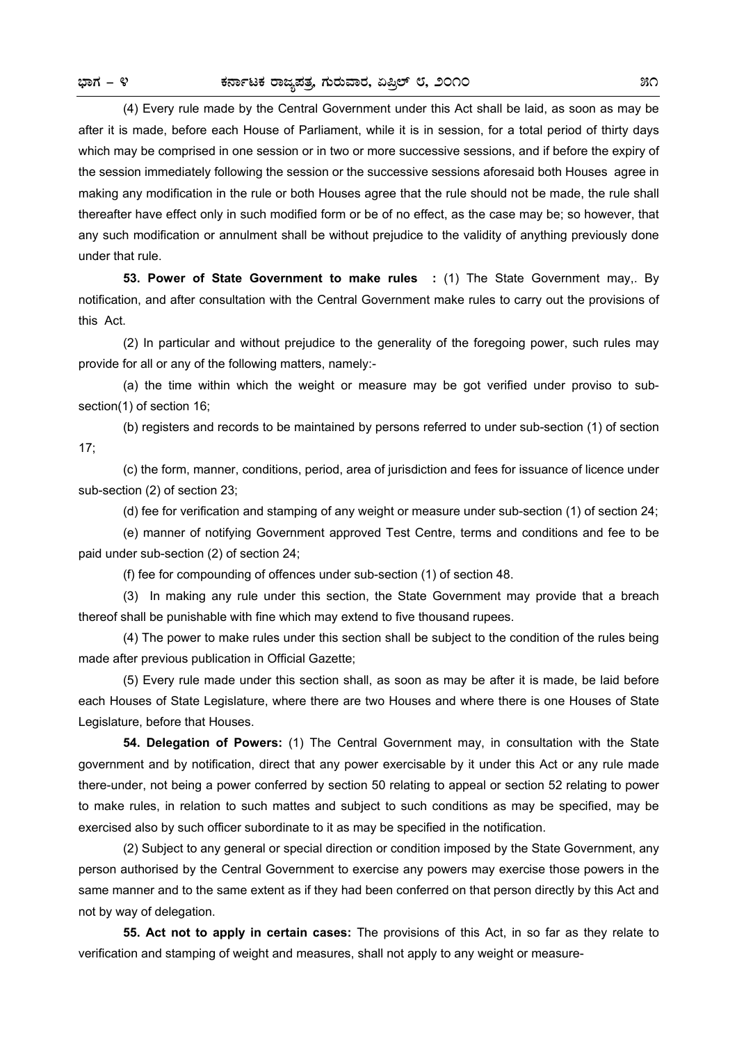(4) Every rule made by the Central Government under this Act shall be laid, as soon as may be after it is made, before each House of Parliament, while it is in session, for a total period of thirty days which may be comprised in one session or in two or more successive sessions, and if before the expiry of the session immediately following the session or the successive sessions aforesaid both Houses agree in making any modification in the rule or both Houses agree that the rule should not be made, the rule shall thereafter have effect only in such modified form or be of no effect, as the case may be; so however, that any such modification or annulment shall be without prejudice to the validity of anything previously done under that rule.

**53. Power of State Government to make rules :** (1) The State Government may,. By notification, and after consultation with the Central Government make rules to carry out the provisions of this Act.

 (2) In particular and without prejudice to the generality of the foregoing power, such rules may provide for all or any of the following matters, namely:-

 (a) the time within which the weight or measure may be got verified under proviso to subsection(1) of section 16;

 (b) registers and records to be maintained by persons referred to under sub-section (1) of section 17;

 (c) the form, manner, conditions, period, area of jurisdiction and fees for issuance of licence under sub-section (2) of section 23;

(d) fee for verification and stamping of any weight or measure under sub-section (1) of section 24;

 (e) manner of notifying Government approved Test Centre, terms and conditions and fee to be paid under sub-section (2) of section 24;

(f) fee for compounding of offences under sub-section (1) of section 48.

 (3) In making any rule under this section, the State Government may provide that a breach thereof shall be punishable with fine which may extend to five thousand rupees.

 (4) The power to make rules under this section shall be subject to the condition of the rules being made after previous publication in Official Gazette;

 (5) Every rule made under this section shall, as soon as may be after it is made, be laid before each Houses of State Legislature, where there are two Houses and where there is one Houses of State Legislature, before that Houses.

**54. Delegation of Powers:** (1) The Central Government may, in consultation with the State government and by notification, direct that any power exercisable by it under this Act or any rule made there-under, not being a power conferred by section 50 relating to appeal or section 52 relating to power to make rules, in relation to such mattes and subject to such conditions as may be specified, may be exercised also by such officer subordinate to it as may be specified in the notification.

 (2) Subject to any general or special direction or condition imposed by the State Government, any person authorised by the Central Government to exercise any powers may exercise those powers in the same manner and to the same extent as if they had been conferred on that person directly by this Act and not by way of delegation.

**55. Act not to apply in certain cases:** The provisions of this Act, in so far as they relate to verification and stamping of weight and measures, shall not apply to any weight or measure-